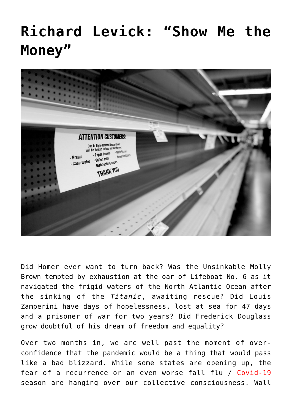## **[Richard Levick: "Show Me the](https://www.commpro.biz/richard-levick-show-me-the-money/) [Money"](https://www.commpro.biz/richard-levick-show-me-the-money/)**



Did Homer ever want to turn back? Was the Unsinkable Molly Brown tempted by exhaustion at the oar of Lifeboat No. 6 as it navigated the frigid waters of the North Atlantic Ocean after the sinking of the *Titanic*, awaiting rescue? Did Louis Zamperini have days of hopelessness, lost at sea for 47 days and a prisoner of war for two years? Did Frederick Douglass grow doubtful of his dream of freedom and equality?

Over two months in, we are well past the moment of overconfidence that the pandemic would be a thing that would pass like a bad blizzard. While some states are opening up, the fear of a recurrence or an even worse fall flu / [Covid-19](https://www.commpro.biz/?s=covid-19) season are hanging over our collective consciousness. Wall